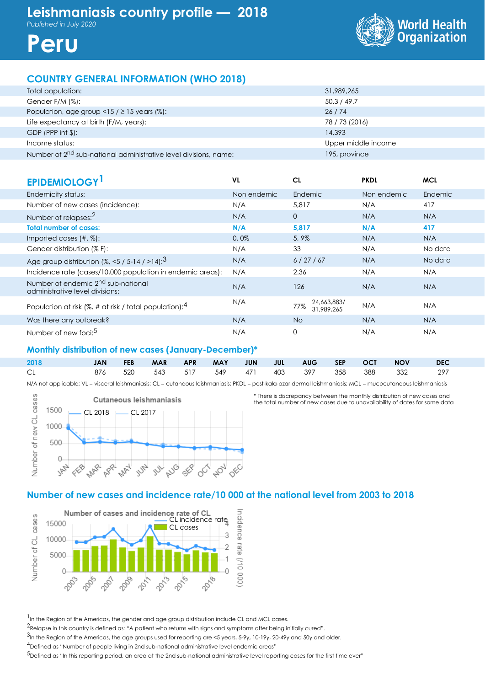



# **COUNTRY GENERAL INFORMATION (WHO 2018)**

| Total population:                                                            | 31,989,265          |
|------------------------------------------------------------------------------|---------------------|
| Gender F/M (%):                                                              | 50.3 / 49.7         |
| Population, age group <15 / $\geq$ 15 years (%):                             | 26/74               |
| Life expectancy at birth (F/M, years):                                       | 78 / 73 (2016)      |
| $GDP$ (PPP int $$$ ):                                                        | 14,393              |
| Income status:                                                               | Upper middle income |
| Number of 2 <sup>nd</sup> sub-national administrative level divisions, name: | 195, province       |

| <b>EPIDEMIOLOGY</b>                                                               | VL          | CL                               | <b>PKDL</b> | <b>MCL</b> |
|-----------------------------------------------------------------------------------|-------------|----------------------------------|-------------|------------|
| Endemicity status:                                                                | Non endemic | Endemic                          | Non endemic | Endemic    |
| Number of new cases (incidence):                                                  | N/A         | 5,817                            | N/A         | 417        |
| Number of relapses: <sup>2</sup>                                                  | N/A         | $\overline{0}$                   | N/A         | N/A        |
| <b>Total number of cases:</b>                                                     | N/A         | 5,817                            | N/A         | 417        |
| Imported cases $(\#, \%)$ :                                                       | 0,0%        | 5,9%                             | N/A         | N/A        |
| Gender distribution (% F):                                                        | N/A         | 33                               | N/A         | No data    |
| Age group distribution $(%, < 5 / 5 - 14 / > 14)$ : <sup>3</sup>                  | N/A         | 6/27/67                          | N/A         | No data    |
| Incidence rate (cases/10,000 population in endemic areas):                        | N/A         | 2.36                             | N/A         | N/A        |
| Number of endemic 2 <sup>nd</sup> sub-national<br>administrative level divisions: | N/A         | 126                              | N/A         | N/A        |
| Population at risk (%, # at risk / total population): $4$                         | N/A         | 24,663,883/<br>77%<br>31.989.265 | N/A         | N/A        |
| Was there any outbreak?                                                           | N/A         | No.                              | N/A         | N/A        |
| Number of new foci: <sup>5</sup>                                                  | N/A         | 0                                | N/A         | N/A        |

## **Monthly distribution of new cases (January-December)\***

| 2018 | <b>JAN</b> | <b>FEB</b> | <b>MAR</b> | <b>APR</b> | <b>MAY</b> | <b>JUN</b> | JUL AUG SEP OCT                     |  | <b>NOV</b> | <b>DEC</b> |
|------|------------|------------|------------|------------|------------|------------|-------------------------------------|--|------------|------------|
| CL.  | 876 520    |            |            |            |            |            | 543 517 549 471 403 397 358 388 332 |  |            | - 297      |

N/A not applicable; VL = visceral leishmaniasis; CL = cutaneous leishmaniasis; PKDL = post-kala-azar dermal leishmaniasis; MCL = mucocutaneous leishmaniasis



\* There is discrepancy between the monthly distribution of new cases and the total number of new cases due to unavailability of dates for some data

# **Number of new cases and incidence rate/10 000 at the national level from 2003 to 2018**



<sup>1</sup> In the Region of the Americas, the gender and age group distribution include CL and MCL cases.

2Relapse in this country is defined as: "A patient who returns with signs and symptoms after being initially cured".

.<br><sup>3</sup>In the Region of the Americas, the age groups used for reporting are <5 years, 5-9y, 10-19y, 20-49y and 50y and older.

4Defined as "Number of people living in 2nd sub-national administrative level endemic areas"

5Defined as "In this reporting period, an area at the 2nd sub-national administrative level reporting cases for the first time ever"